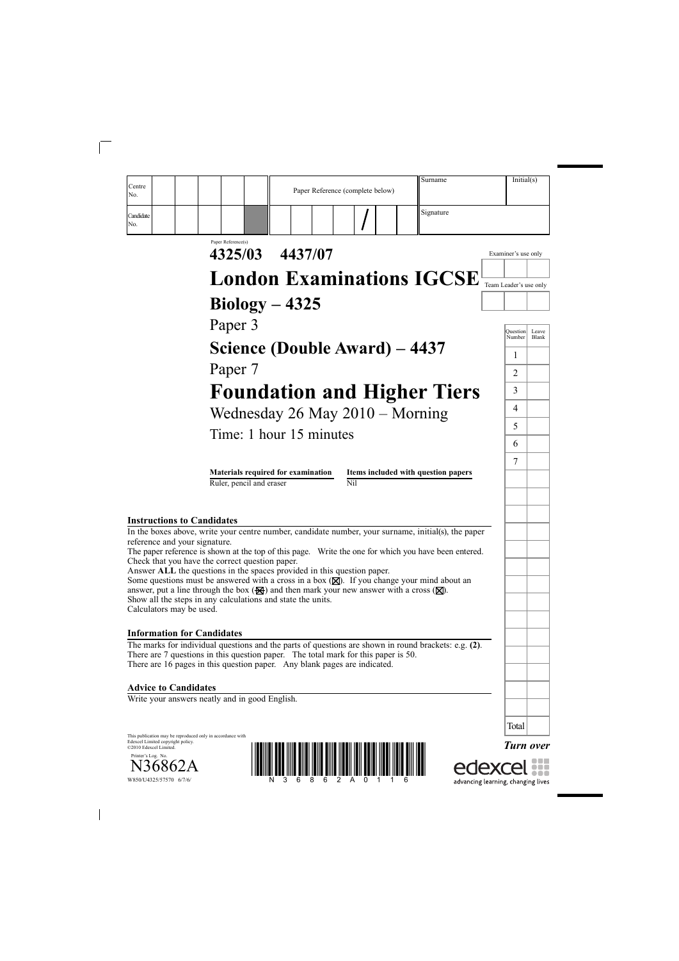





This publication may be reproduced only in accordance with Edexcel Limited copyright policy. ©2010 Edexcel Limited.

 Printer's Log. No. N36862A

W850/U4325/57570 6/7/6/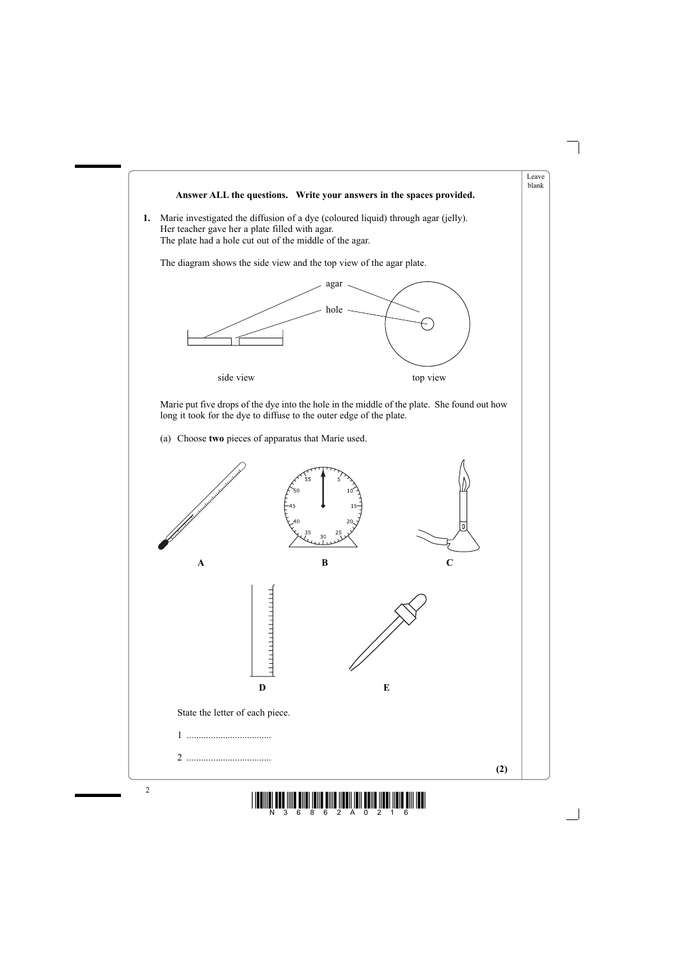

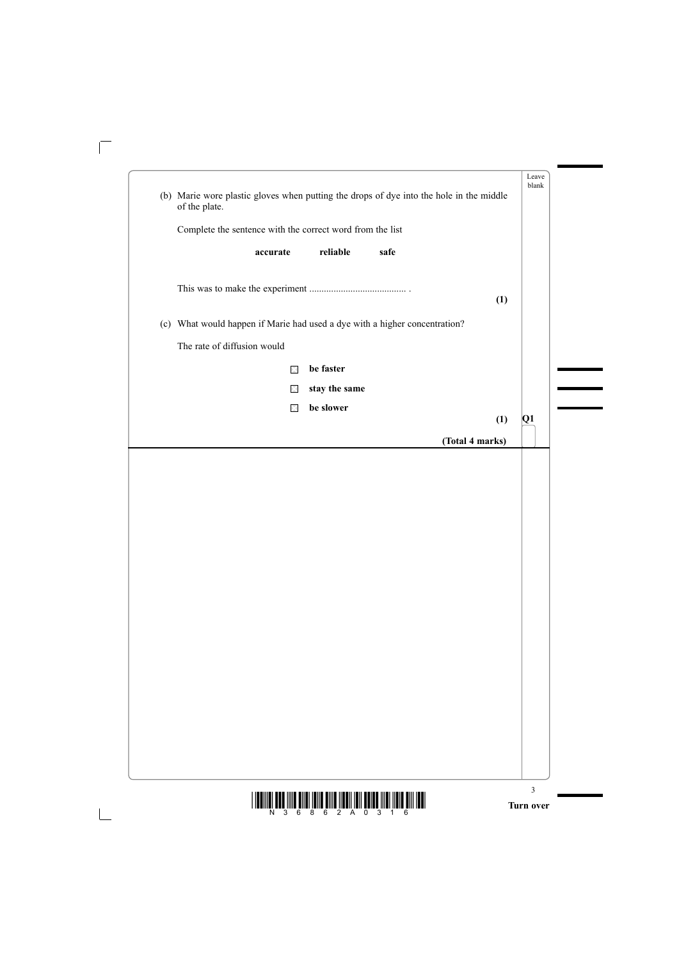

|                                                                                                          | Leave |
|----------------------------------------------------------------------------------------------------------|-------|
| (b) Marie wore plastic gloves when putting the drops of dye into the hole in the middle<br>of the plate. | blank |
| Complete the sentence with the correct word from the list                                                |       |
| reliable<br>safe<br>accurate                                                                             |       |
| (1)                                                                                                      |       |
| (c) What would happen if Marie had used a dye with a higher concentration?                               |       |
| The rate of diffusion would                                                                              |       |
| be faster<br>$\times$                                                                                    |       |
| stay the same<br>$\times$                                                                                |       |
| be slower<br>$\boxtimes$<br>(1)                                                                          | Q1    |
| (Total 4 marks)                                                                                          |       |
|                                                                                                          |       |
|                                                                                                          |       |
|                                                                                                          |       |
|                                                                                                          |       |
|                                                                                                          |       |
|                                                                                                          |       |
|                                                                                                          |       |
|                                                                                                          |       |
|                                                                                                          |       |
|                                                                                                          |       |
|                                                                                                          |       |
|                                                                                                          |       |

 $\overline{\mathbb{F}}$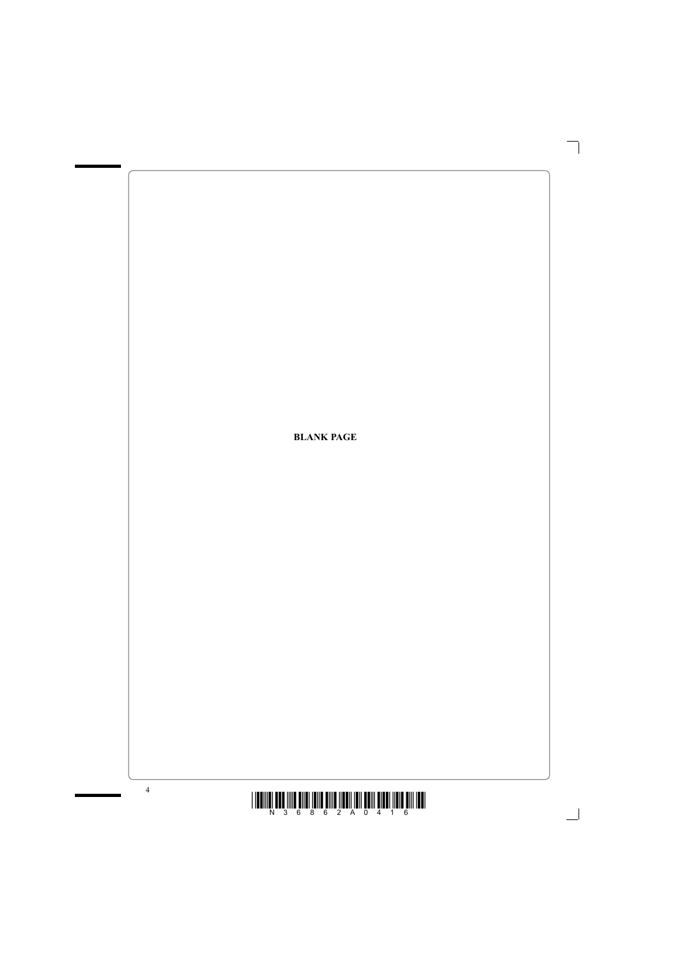**BLANK PAGE** 

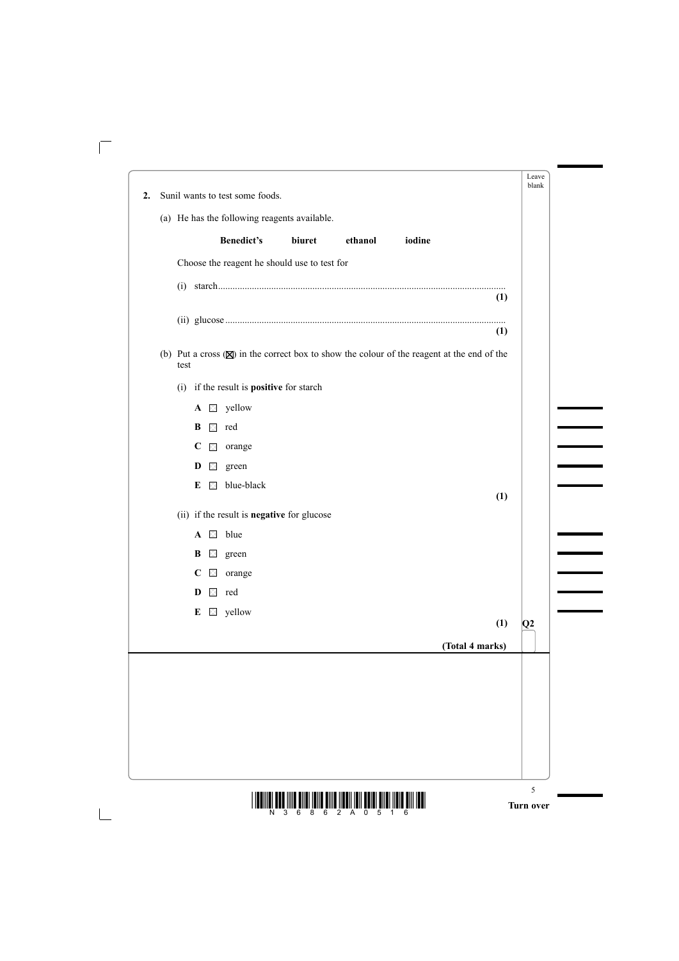

| Sunil wants to test some foods.                                                                       |        |         |        |                 |    |
|-------------------------------------------------------------------------------------------------------|--------|---------|--------|-----------------|----|
| (a) He has the following reagents available.                                                          |        |         |        |                 |    |
| <b>Benedict's</b>                                                                                     | biuret | ethanol | iodine |                 |    |
| Choose the reagent he should use to test for                                                          |        |         |        |                 |    |
| (i)                                                                                                   |        |         |        |                 |    |
|                                                                                                       |        |         |        | (1)             |    |
|                                                                                                       |        |         |        | (1)             |    |
| (b) Put a cross $(\mathbb{X})$ in the correct box to show the colour of the reagent at the end of the |        |         |        |                 |    |
| test                                                                                                  |        |         |        |                 |    |
| if the result is <b>positive</b> for starch<br>(i)                                                    |        |         |        |                 |    |
| yellow<br>$\times$<br>${\bf A}$                                                                       |        |         |        |                 |    |
| red<br>B<br>X                                                                                         |        |         |        |                 |    |
| $\mathbf C$<br>orange<br>$\times$                                                                     |        |         |        |                 |    |
| D<br>green<br>$\times$                                                                                |        |         |        |                 |    |
| blue-black<br>E<br>$\times$                                                                           |        |         |        | (1)             |    |
| (ii) if the result is <b>negative</b> for glucose                                                     |        |         |        |                 |    |
| blue<br>$\mathbf{A}$<br>$\times$                                                                      |        |         |        |                 |    |
| B<br>$\times$<br>green                                                                                |        |         |        |                 |    |
| orange<br>$\mathbf C$<br>$\times$                                                                     |        |         |        |                 |    |
| red<br>D<br>$\times$                                                                                  |        |         |        |                 |    |
| yellow<br>$\bf{E}$<br>$\times$                                                                        |        |         |        |                 |    |
|                                                                                                       |        |         |        | (1)             | Q2 |
|                                                                                                       |        |         |        | (Total 4 marks) |    |
|                                                                                                       |        |         |        |                 |    |

 $\overline{\Box}$ 

 $\overline{\phantom{a}}$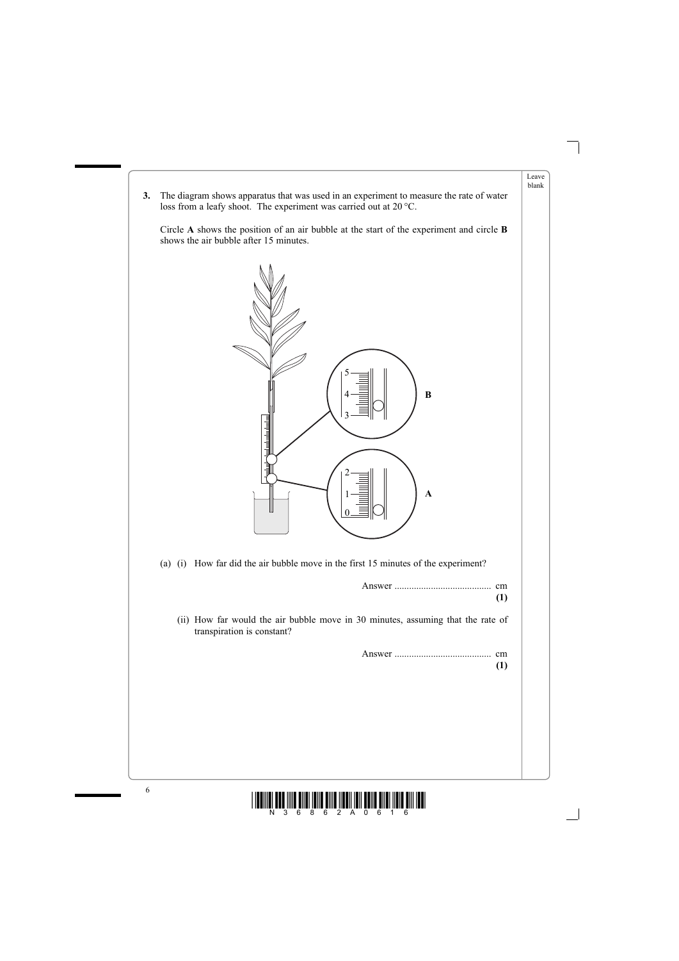

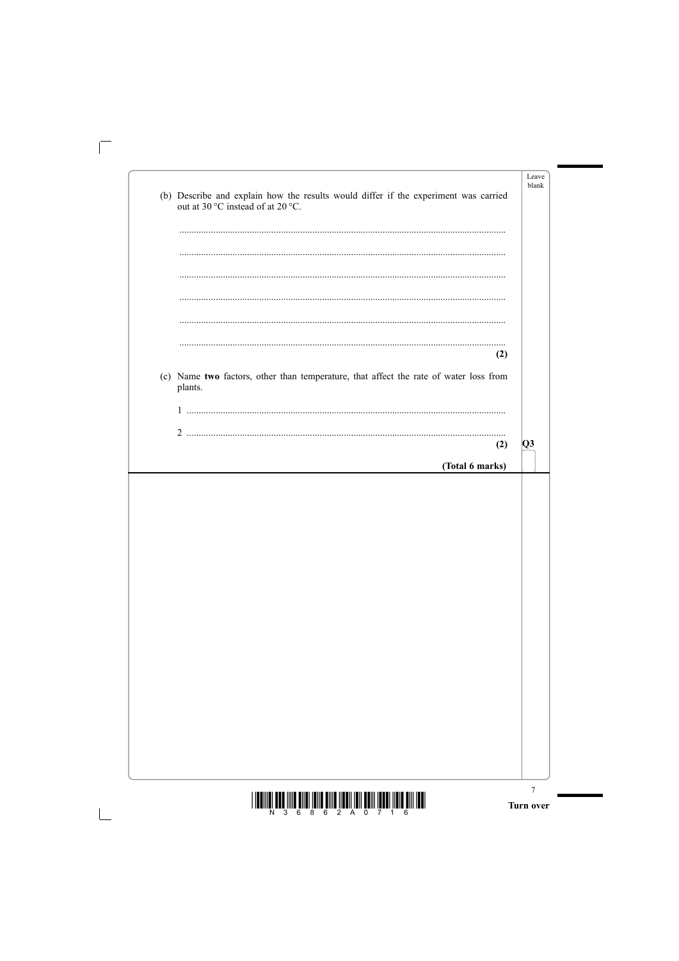|                                                                                                                          | Leave<br>blank |
|--------------------------------------------------------------------------------------------------------------------------|----------------|
| (b) Describe and explain how the results would differ if the experiment was carried<br>out at 30 °C instead of at 20 °C. |                |
|                                                                                                                          |                |
|                                                                                                                          |                |
| .                                                                                                                        |                |
|                                                                                                                          |                |
| (2)                                                                                                                      |                |
| (c) Name two factors, other than temperature, that affect the rate of water loss from<br>plants.                         |                |
| $\mathbf{1}$                                                                                                             |                |
| $\overline{2}$<br>(2)                                                                                                    | Q3             |
| (Total 6 marks)                                                                                                          |                |
|                                                                                                                          |                |
|                                                                                                                          |                |
|                                                                                                                          |                |
|                                                                                                                          |                |
|                                                                                                                          |                |
|                                                                                                                          |                |
|                                                                                                                          |                |
|                                                                                                                          |                |
|                                                                                                                          |                |
|                                                                                                                          |                |
|                                                                                                                          |                |

 $\overline{\phantom{a}}$ 

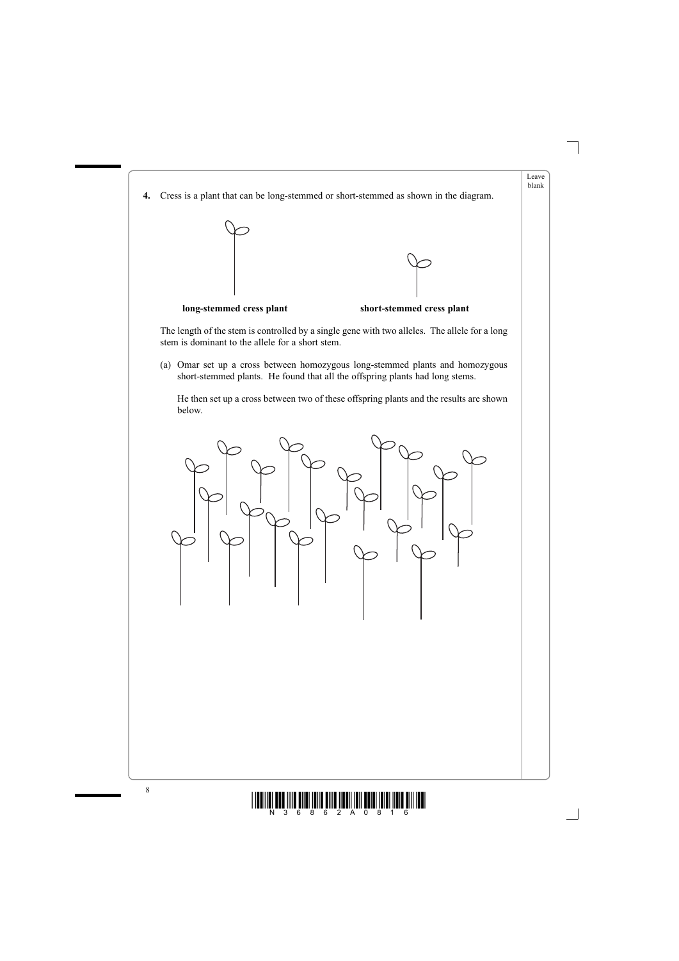



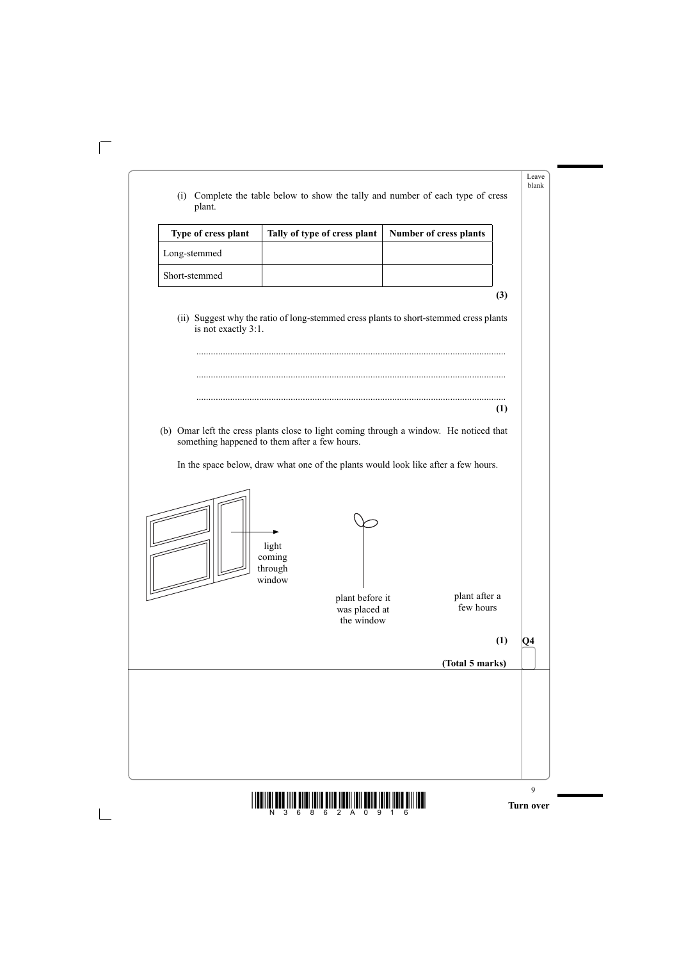

| Type of cress plant | Tally of type of cress plant                                                                                                                                                                                                  | <b>Number of cress plants</b> |     |
|---------------------|-------------------------------------------------------------------------------------------------------------------------------------------------------------------------------------------------------------------------------|-------------------------------|-----|
| Long-stemmed        |                                                                                                                                                                                                                               |                               |     |
| Short-stemmed       |                                                                                                                                                                                                                               |                               |     |
|                     |                                                                                                                                                                                                                               |                               | (3) |
|                     |                                                                                                                                                                                                                               |                               |     |
|                     |                                                                                                                                                                                                                               |                               | (1) |
|                     | (b) Omar left the cress plants close to light coming through a window. He noticed that<br>something happened to them after a few hours.<br>In the space below, draw what one of the plants would look like after a few hours. |                               |     |
|                     |                                                                                                                                                                                                                               |                               |     |
|                     | light<br>coming<br>through<br>window                                                                                                                                                                                          |                               |     |
|                     | plant before it<br>was placed at<br>the window                                                                                                                                                                                | plant after a<br>few hours    |     |

 $\sqrt{\phantom{a}}$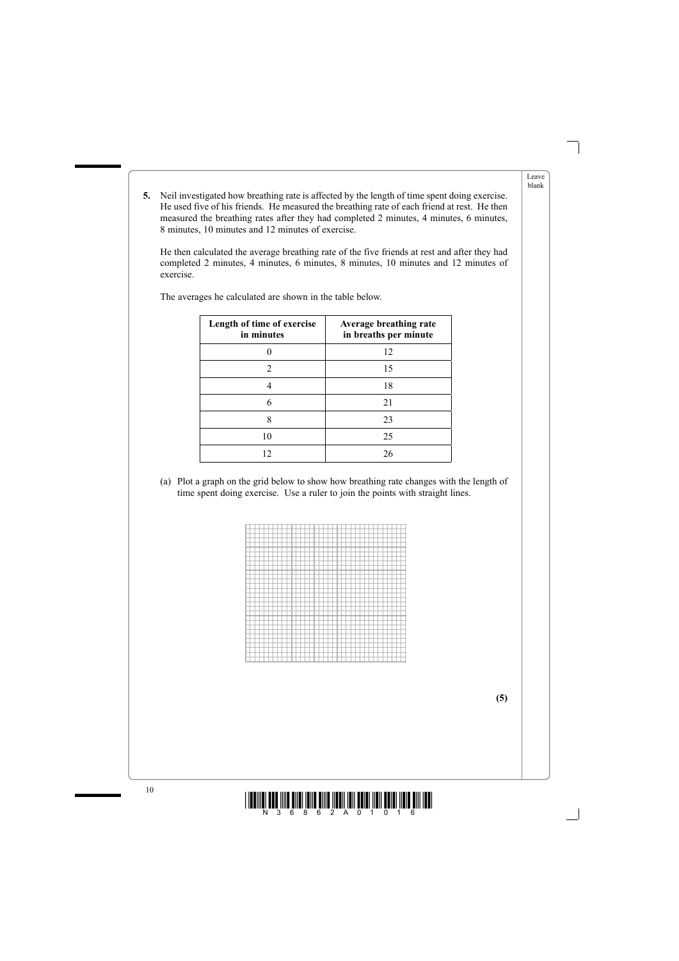Leave blank



**5.** Neil investigated how breathing rate is affected by the length of time spent doing exercise. He used five of his friends. He measured the breathing rate of each friend at rest. He then measured the breathing rates after they had completed 2 minutes, 4 minutes, 6 minutes, 8 minutes, 10 minutes and 12 minutes of exercise.

 He then calculated the average breathing rate of the five friends at rest and after they had completed 2 minutes, 4 minutes, 6 minutes, 8 minutes, 10 minutes and 12 minutes of exercise.

The averages he calculated are shown in the table below.

| Length of time of exercise<br>in minutes | <b>Average breathing rate</b><br>in breaths per minute |
|------------------------------------------|--------------------------------------------------------|
|                                          | 12                                                     |
| 2                                        | 15                                                     |
|                                          | 18                                                     |
| 6                                        | 21                                                     |
| 8                                        | 23                                                     |
| 10                                       | 25                                                     |
| 12                                       | 26                                                     |

 (a) Plot a graph on the grid below to show how breathing rate changes with the length of time spent doing exercise. Use a ruler to join the points with straight lines.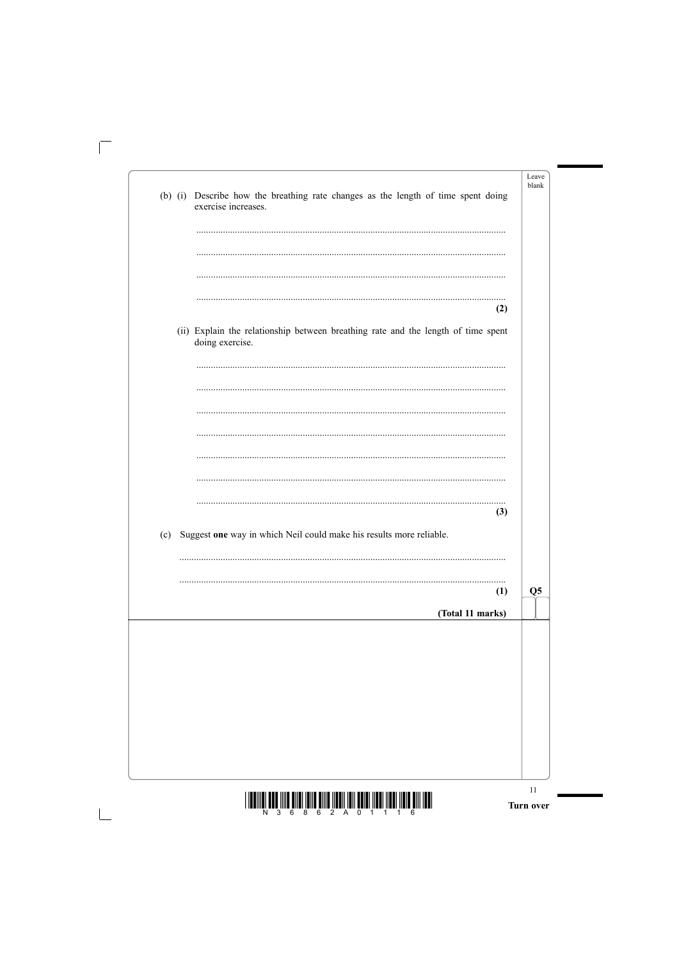|     |                                                                                                      | (2) |
|-----|------------------------------------------------------------------------------------------------------|-----|
|     | (ii) Explain the relationship between breathing rate and the length of time spent<br>doing exercise. |     |
|     |                                                                                                      |     |
|     |                                                                                                      |     |
|     |                                                                                                      |     |
|     |                                                                                                      |     |
|     |                                                                                                      |     |
|     |                                                                                                      | (3) |
| (c) | Suggest one way in which Neil could make his results more reliable.                                  |     |
|     |                                                                                                      |     |
|     |                                                                                                      | (1) |
|     | (Total 11 marks)                                                                                     |     |
|     |                                                                                                      |     |

 $\Box$ 

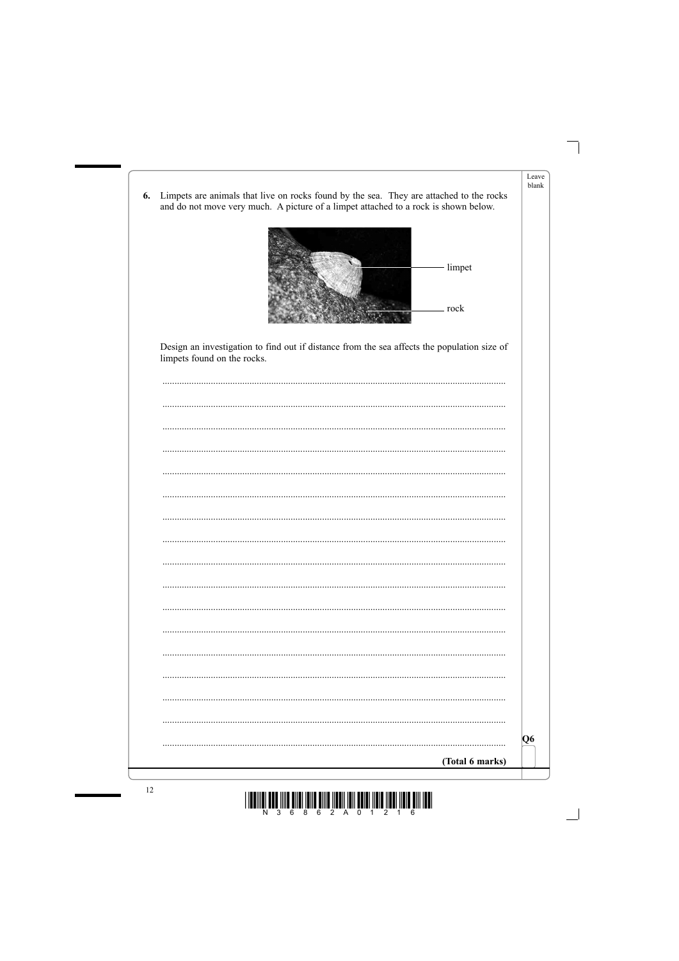



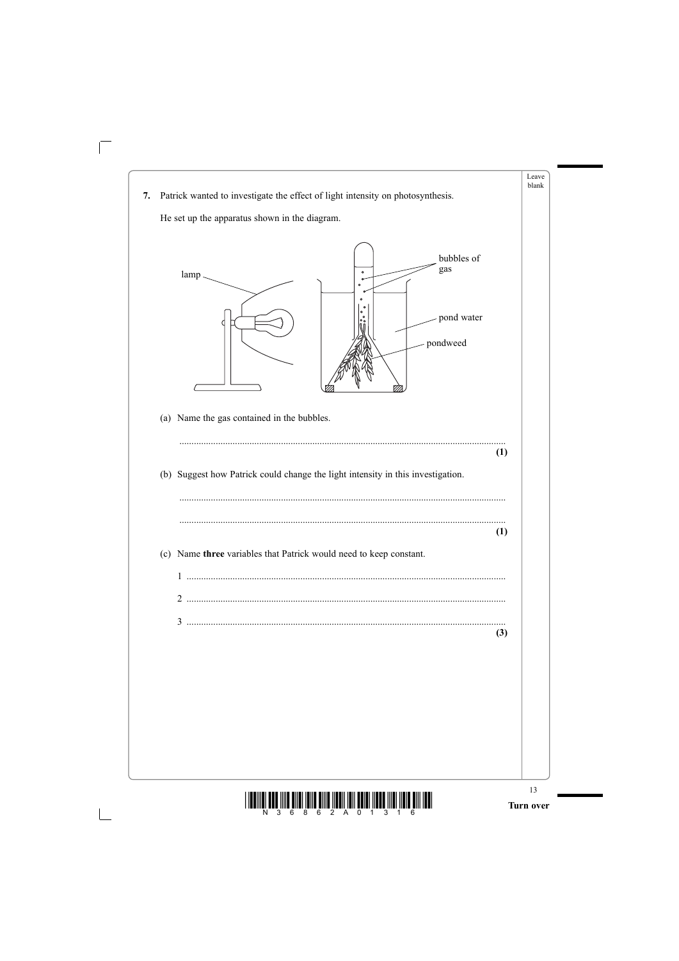

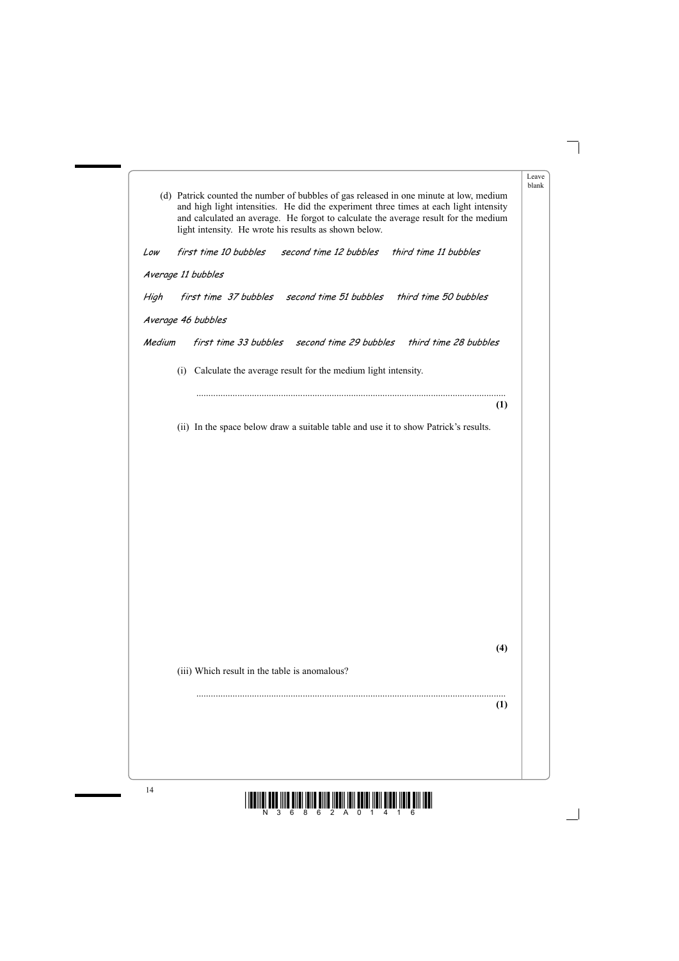



 $\overline{\phantom{a}}$ 

| (d) Patrick counted the number of bubbles of gas released in one minute at low, medium<br>and high light intensities. He did the experiment three times at each light intensity<br>and calculated an average. He forgot to calculate the average result for the medium<br>light intensity. He wrote his results as shown below. |
|---------------------------------------------------------------------------------------------------------------------------------------------------------------------------------------------------------------------------------------------------------------------------------------------------------------------------------|
| first time 10 bubbles<br>second time 12 bubbles<br>third time 11 bubbles<br>Low                                                                                                                                                                                                                                                 |
| Average 11 bubbles                                                                                                                                                                                                                                                                                                              |
| first time 37 bubbles second time 51 bubbles<br>third time 50 bubbles<br>High                                                                                                                                                                                                                                                   |
| Average 46 bubbles                                                                                                                                                                                                                                                                                                              |
| Medium<br>first time 33 bubbles second time 29 bubbles<br>third time 28 bubbles                                                                                                                                                                                                                                                 |
| Calculate the average result for the medium light intensity.<br>(i)                                                                                                                                                                                                                                                             |
| (1)                                                                                                                                                                                                                                                                                                                             |
| (ii) In the space below draw a suitable table and use it to show Patrick's results.                                                                                                                                                                                                                                             |
|                                                                                                                                                                                                                                                                                                                                 |
|                                                                                                                                                                                                                                                                                                                                 |
|                                                                                                                                                                                                                                                                                                                                 |
|                                                                                                                                                                                                                                                                                                                                 |
|                                                                                                                                                                                                                                                                                                                                 |
|                                                                                                                                                                                                                                                                                                                                 |
|                                                                                                                                                                                                                                                                                                                                 |
|                                                                                                                                                                                                                                                                                                                                 |
|                                                                                                                                                                                                                                                                                                                                 |
|                                                                                                                                                                                                                                                                                                                                 |
|                                                                                                                                                                                                                                                                                                                                 |
|                                                                                                                                                                                                                                                                                                                                 |
| (4)                                                                                                                                                                                                                                                                                                                             |
| (iii) Which result in the table is anomalous?                                                                                                                                                                                                                                                                                   |
| (1)                                                                                                                                                                                                                                                                                                                             |

 $\blacksquare$ 

 $\blacksquare$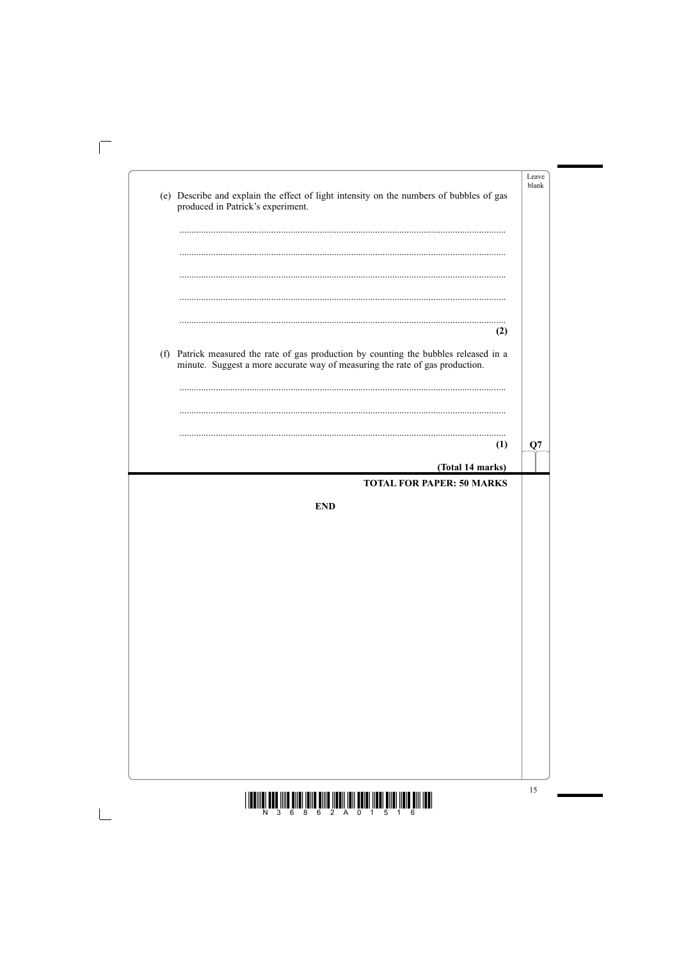|                                                                                                                                                                       | Leave<br>blank |
|-----------------------------------------------------------------------------------------------------------------------------------------------------------------------|----------------|
| (e) Describe and explain the effect of light intensity on the numbers of bubbles of gas<br>produced in Patrick's experiment.                                          |                |
|                                                                                                                                                                       |                |
|                                                                                                                                                                       |                |
|                                                                                                                                                                       |                |
|                                                                                                                                                                       |                |
|                                                                                                                                                                       |                |
|                                                                                                                                                                       |                |
|                                                                                                                                                                       |                |
| (2)                                                                                                                                                                   |                |
| (f) Patrick measured the rate of gas production by counting the bubbles released in a<br>minute. Suggest a more accurate way of measuring the rate of gas production. |                |
|                                                                                                                                                                       |                |
|                                                                                                                                                                       |                |
|                                                                                                                                                                       |                |
|                                                                                                                                                                       |                |
| (1)                                                                                                                                                                   | Q7             |
| (Total 14 marks)                                                                                                                                                      |                |
| <b>TOTAL FOR PAPER: 50 MARKS</b>                                                                                                                                      |                |
| <b>END</b>                                                                                                                                                            |                |
|                                                                                                                                                                       |                |
|                                                                                                                                                                       |                |
|                                                                                                                                                                       |                |
|                                                                                                                                                                       |                |
|                                                                                                                                                                       |                |
|                                                                                                                                                                       |                |
|                                                                                                                                                                       |                |
|                                                                                                                                                                       |                |
|                                                                                                                                                                       |                |
|                                                                                                                                                                       |                |
|                                                                                                                                                                       |                |

 $\overline{\phantom{a}}$